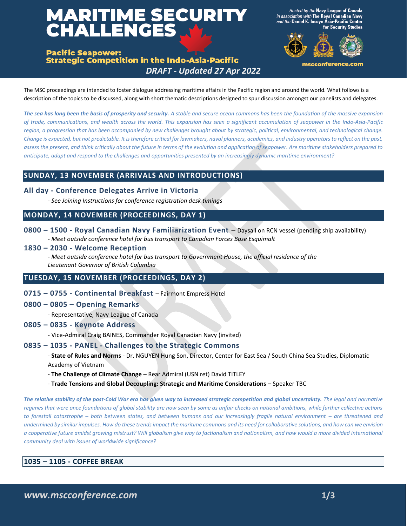# **MARITIME SECURITY<br>CHALLENGES**

Hosted by the Navy League of Canada sociation with The Royal Canadian Navy nd the Daniel K. Inouye Ásia-Pacific Center for Security Studies



mscconference.com

**Pacific Seapower: Strategic Competition in the Indo-Asia-Pacific** *DRAFT - Updated 27 Apr 2022*

The MSC proceedings are intended to foster dialogue addressing maritime affairs in the Pacific region and around the world. What follows is a description of the topics to be discussed, along with short thematic descriptions designed to spur discussion amongst our panelists and delegates.

*The sea has long been the basis of prosperity and security. A stable and secure ocean commons has been the foundation of the massive expansion of trade, communications, and wealth across the world. This expansion has seen a significant accumulation of seapower in the Indo-Asia-Pacific region, a progression that has been accompanied by new challenges brought about by strategic, political, environmental, and technological change. Change is expected, but not predictable. It is therefore critical for lawmakers, naval planners, academics, and industry operators to reflect on the past, assess the present, and think critically about the future in terms of the evolution and application of seapower. Are maritime stakeholders prepared to anticipate, adapt and respond to the challenges and opportunities presented by an increasingly dynamic maritime environment?*

# **SUNDAY, 13 NOVEMBER (ARRIVALS AND INTRODUCTIONS)**

- **All day - Conference Delegates Arrive in Victoria**
	- *See Joining Instructions for conference registration desk timings*

## **MONDAY, 14 NOVEMBER (PROCEEDINGS, DAY 1)**

- **0800 – 1500 - Royal Canadian Navy Familiarization Event**  Daysail on RCN vessel (pending ship availability) - *Meet outside conference hotel for bus transport to Canadian Forces Base Esquimalt*
- **1830 – 2030 - Welcome Reception**

- *Meet outside conference hotel for bus transport to Government House, the official residence of the Lieutenant Governor of British Columbia*

# **TUESDAY, 15 NOVEMBER (PROCEEDINGS, DAY 2)**

- **0715 – 0755 - Continental Breakfast** Fairmont Empress Hotel
- **0800 – 0805 – Opening Remarks** 
	- Representative, Navy League of Canada
- **0805 – 0835 - Keynote Address**
	- Vice-Admiral Craig BAINES, Commander Royal Canadian Navy (invited)

### **0835 – 1035 - PANEL - Challenges to the Strategic Commons**

- **State of Rules and Norms** - Dr. NGUYEN Hung Son, Director, Center for East Sea / South China Sea Studies, Diplomatic Academy of Vietnam

- **The Challenge of Climate Change**  Rear Admiral (USN ret) David TITLEY
- **Trade Tensions and Global Decoupling: Strategic and Maritime Considerations –** Speaker TBC

*The relative stability of the post-Cold War era has given way to increased strategic competition and global uncertainty. The legal and normative regimes that were once foundations of global stability are now seen by some as unfair checks on national ambitions, while further collective actions to forestall catastrophe – both between states, and between humans and our increasingly fragile natural environment – are threatened and undermined by similar impulses. How do these trends impact the maritime commons and its need for collaborative solutions, and how can we envision a cooperative future amidst growing mistrust? Will globalism give way to factionalism and nationalism, and how would a more divided international community deal with issues of worldwide significance?*

## **1035 – 1105 - COFFEE BREAK**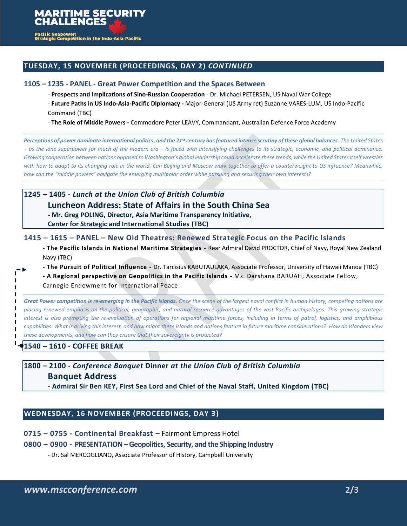

c Seapower:<br>gic Competition in the Indo-Asia-Pacific

# **TUESDAY, 15 NOVEMBER (PROCEEDINGS, DAY 2)** *CONTINUED*

## **1105 – 1235 - PANEL - Great Power Competition and the Spaces Between**

- **Prospects and Implications of Sino-Russian Cooperation** - Dr. Michael PETERSEN, US Naval War College

- **Future Paths in US Indo-Asia-Pacific Diplomacy -** Major-General (US Army ret) Suzanne VARES-LUM, US Indo-Pacific Command (TBC)

- **The Role of Middle Powers -** Commodore Peter LEAVY, Commandant, Australian Defence Force Academy

*Perceptions of power dominate international politics, and the 21st century has featured intense scrutiny of these global balances. The United States – as the lone superpower for much of the modern era – is faced with intensifying challenges to its strategic, economic, and political dominance. Growing cooperation between nations opposed to Washington's global leadership could accelerate these trends, while the United States itself wrestles with how to adapt to its changing role in the world. Can Beijing and Moscow work together to offer a counterweight to US influence? Meanwhile, how can the "middle powers" navigate the emerging multipolar order while pursuing and securing their own interests?*

## **1245 – 1405 -** *Lunch at the Union Club of British Columbia*

# **Luncheon Address: State of Affairs in the South China Sea**

**- Mr. Greg POLING, Director, Asia Maritime Transparency Initiative,** 

**Center for Strategic and International Studies (TBC)**

## **1415 – 1615 – PANEL – New Old Theatres: Renewed Strategic Focus on the Pacific Islands**

**- The Pacific Islands in National Maritime Strategies -** Rear Admiral David PROCTOR, Chief of Navy, Royal New Zealand Navy (TBC)

**- The Pursuit of Political Influence -** Dr. Tarcisius KABUTAULAKA, Associate Professor, University of Hawaii Manoa (TBC)

**- A Regional perspective on Geopolitics in the Pacific Islands -** Ms. Darshana BARUAH, Associate Fellow,

Carnegie Endowment for International Peace

**Great Power competition is re-emerging in the Pacific Islands.** Once the scene of the largest naval conflict in human history, competing nations are *placing renewed emphasis on the political, geographic, and natural resource advantages of the vast Pacific archipelagos. This growing strategic interest is also prompting the re-evaluation of operations for regional maritime forces, including in terms of patrol, logistics, and amphibious capabilities. What is driving this interest, and how might these islands and nations feature in future maritime considerations? How do islanders view these developments, and how can they ensure that their sovereignty is protected?*

# **1540 – 1610 - COFFEE BREAK**

 $\mathbf{I}$ п

> **1800 – 2100 -** *Conference Banquet* **Dinner** *at the Union Club of British Columbia* **Banquet Address**

**- Admiral Sir Ben KEY, First Sea Lord and Chief of the Naval Staff, United Kingdom (TBC)**

# **WEDNESDAY, 16 NOVEMBER (PROCEEDINGS, DAY 3)**

**0715 – 0755 - Continental Breakfast** – Fairmont Empress Hotel

## **0800 – 0900 - PRESENTATION – Geopolitics, Security, and the Shipping Industry**

- Dr. Sal MERCOGLIANO, Associate Professor of History, Campbell University